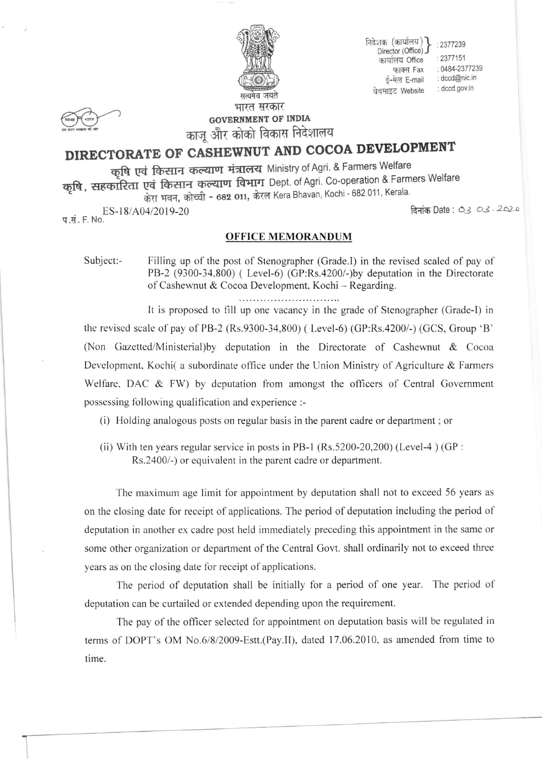

निदेशक (कार्यालय) : 2377239 Director (Office) कार्यालय Office फाक्स Fax ई-मेल E-mail वेबसाइट Website

: 2377151 : 0484-2377239 : dccd@nic.in : dccd.gov.in

**GOVERNMENT OF INDIA** काजू और कोको विकास निदेशालय

## DIRECTORATE OF CASHEWNUT AND COCOA DEVELOPMENT

कृषि एवं किसान कल्याण मंत्रालय Ministry of Agri. & Farmers Welfare कृषि, सहकारिता एवं किसान कल्याण विभाग Dept. of Agri. Co-operation & Farmers Welfare केरा भवन, कोच्ची - 682 011, केरल Kera Bhavan, Kochi - 682 011, Kerala.

प.सं. F. No. ES-18/A04/2019-20

दिनांक Date: 03.03.2020

## **OFFICE MEMORANDUM**

Subject:-Filling up of the post of Stenographer (Grade.I) in the revised scaled of pay of PB-2 (9300-34,800) (Level-6) (GP:Rs.4200/-)by deputation in the Directorate of Cashewnut & Cocoa Development, Kochi - Regarding.

It is proposed to fill up one vacancy in the grade of Stenographer (Grade-I) in the revised scale of pay of PB-2 (Rs.9300-34,800) (Level-6) (GP:Rs.4200/-) (GCS, Group 'B' (Non Gazetted/Ministerial) by deputation in the Directorate of Cashewnut & Cocoa Development, Kochi( a subordinate office under the Union Ministry of Agriculture & Farmers Welfare, DAC & FW) by deputation from amongst the officers of Central Government possessing following qualification and experience :-

(i) Holding analogous posts on regular basis in the parent cadre or department; or

(ii) With ten years regular service in posts in PB-1 (Rs.5200-20,200) (Level-4) (GP : Rs.2400/-) or equivalent in the parent cadre or department.

The maximum age limit for appointment by deputation shall not to exceed 56 years as on the closing date for receipt of applications. The period of deputation including the period of deputation in another ex cadre post held immediately preceding this appointment in the same or some other organization or department of the Central Govt. shall ordinarily not to exceed three years as on the closing date for receipt of applications.

The period of deputation shall be initially for a period of one year. The period of deputation can be curtailed or extended depending upon the requirement.

The pay of the officer selected for appointment on deputation basis will be regulated in terms of DOPT's OM No.6/8/2009-Estt.(Pay.II), dated 17.06.2010, as amended from time to time.